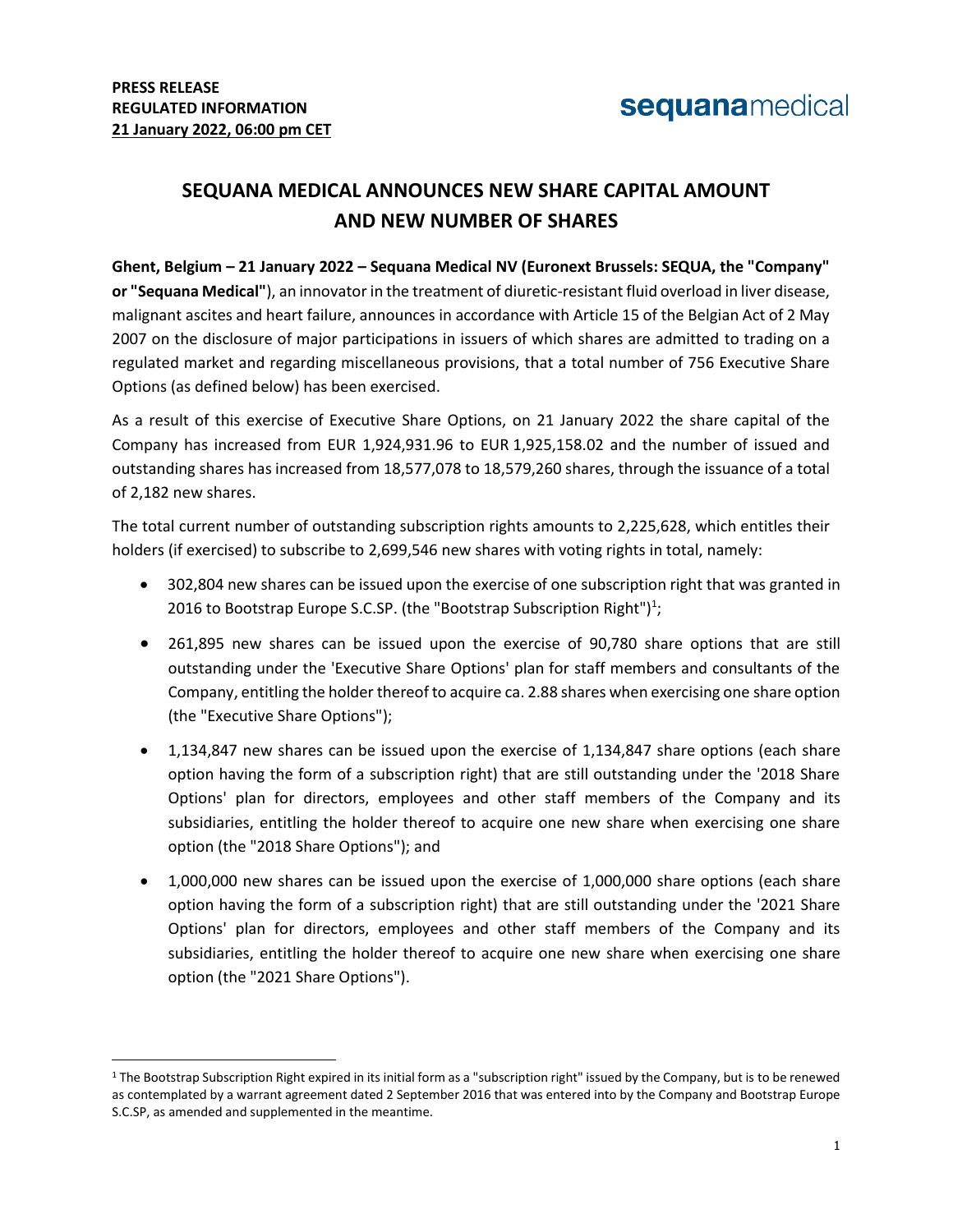$\overline{a}$ 

## **SEQUANA MEDICAL ANNOUNCES NEW SHARE CAPITAL AMOUNT AND NEW NUMBER OF SHARES**

**Ghent, Belgium – 21 January 2022 – Sequana Medical NV (Euronext Brussels: SEQUA, the "Company" or "Sequana Medical"**), an innovator in the treatment of diuretic-resistant fluid overload in liver disease, malignant ascites and heart failure, announces in accordance with Article 15 of the Belgian Act of 2 May 2007 on the disclosure of major participations in issuers of which shares are admitted to trading on a regulated market and regarding miscellaneous provisions, that a total number of 756 Executive Share Options (as defined below) has been exercised.

As a result of this exercise of Executive Share Options, on 21 January 2022 the share capital of the Company has increased from EUR 1,924,931.96 to EUR 1,925,158.02 and the number of issued and outstanding shares has increased from 18,577,078 to 18,579,260 shares, through the issuance of a total of 2,182 new shares.

The total current number of outstanding subscription rights amounts to 2,225,628, which entitles their holders (if exercised) to subscribe to 2,699,546 new shares with voting rights in total, namely:

- 302,804 new shares can be issued upon the exercise of one subscription right that was granted in 2016 to Bootstrap Europe S.C.SP. (the "Bootstrap Subscription Right")<sup>1</sup>;
- 261,895 new shares can be issued upon the exercise of 90,780 share options that are still outstanding under the 'Executive Share Options' plan for staff members and consultants of the Company, entitling the holder thereof to acquire ca. 2.88 shares when exercising one share option (the "Executive Share Options");
- 1,134,847 new shares can be issued upon the exercise of 1,134,847 share options (each share option having the form of a subscription right) that are still outstanding under the '2018 Share Options' plan for directors, employees and other staff members of the Company and its subsidiaries, entitling the holder thereof to acquire one new share when exercising one share option (the "2018 Share Options"); and
- 1,000,000 new shares can be issued upon the exercise of 1,000,000 share options (each share option having the form of a subscription right) that are still outstanding under the '2021 Share Options' plan for directors, employees and other staff members of the Company and its subsidiaries, entitling the holder thereof to acquire one new share when exercising one share option (the "2021 Share Options").

<sup>1</sup> The Bootstrap Subscription Right expired in its initial form as a "subscription right" issued by the Company, but is to be renewed as contemplated by a warrant agreement dated 2 September 2016 that was entered into by the Company and Bootstrap Europe S.C.SP, as amended and supplemented in the meantime.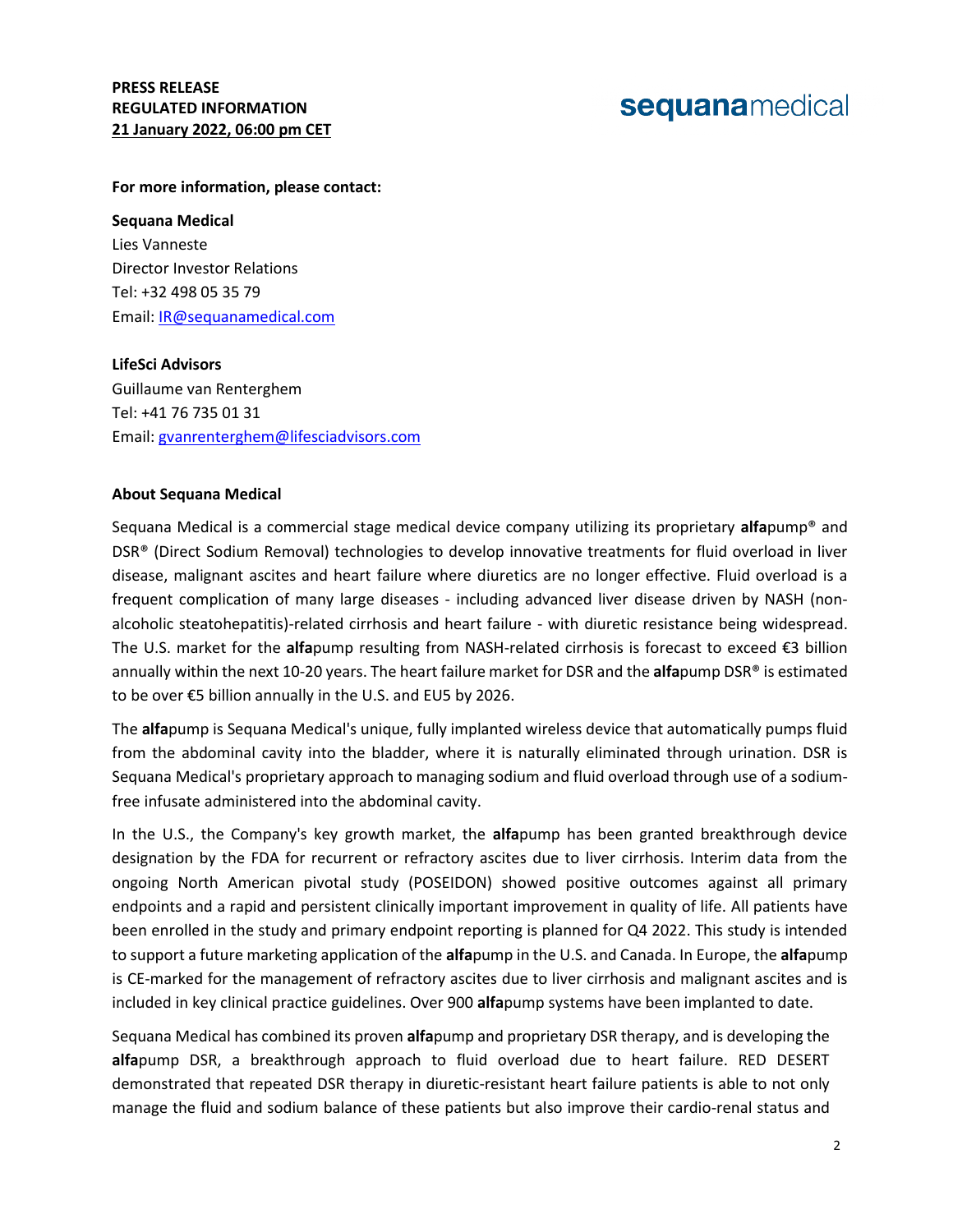# sequanamedical

#### **For more information, please contact:**

#### **Sequana Medical**

Lies Vanneste Director Investor Relations Tel: +32 498 05 35 79 Email: [IR@sequanamedical.com](mailto:IR@sequanamedical.com)

#### **LifeSci Advisors**

Guillaume van Renterghem Tel: +41 76 735 01 31 Email: [gvanrenterghem@lifesciadvisors.com](mailto:gvanrenterghem@lifesciadvisors.com) 

#### **About Sequana Medical**

Sequana Medical is a commercial stage medical device company utilizing its proprietary **alfa**pump® and DSR® (Direct Sodium Removal) technologies to develop innovative treatments for fluid overload in liver disease, malignant ascites and heart failure where diuretics are no longer effective. Fluid overload is a frequent complication of many large diseases - including advanced liver disease driven by NASH (nonalcoholic steatohepatitis)-related cirrhosis and heart failure - with diuretic resistance being widespread. The U.S. market for the **alfa**pump resulting from NASH-related cirrhosis is forecast to exceed €3 billion annually within the next 10-20 years. The heart failure market for DSR and the **alfa**pump DSR® is estimated to be over €5 billion annually in the U.S. and EU5 by 2026.

The **alfa**pump is Sequana Medical's unique, fully implanted wireless device that automatically pumps fluid from the abdominal cavity into the bladder, where it is naturally eliminated through urination. DSR is Sequana Medical's proprietary approach to managing sodium and fluid overload through use of a sodiumfree infusate administered into the abdominal cavity.

In the U.S., the Company's key growth market, the **alfa**pump has been granted breakthrough device designation by the FDA for recurrent or refractory ascites due to liver cirrhosis. Interim data from the ongoing North American pivotal study (POSEIDON) showed positive outcomes against all primary endpoints and a rapid and persistent clinically important improvement in quality of life. All patients have been enrolled in the study and primary endpoint reporting is planned for Q4 2022. This study is intended to support a future marketing application of the **alfa**pump in the U.S. and Canada. In Europe, the **alfa**pump is CE-marked for the management of refractory ascites due to liver cirrhosis and malignant ascites and is included in key clinical practice guidelines. Over 900 **alfa**pump systems have been implanted to date.

Sequana Medical has combined its proven **alfa**pump and proprietary DSR therapy, and is developing the **alfa**pump DSR, a breakthrough approach to fluid overload due to heart failure. RED DESERT demonstrated that repeated DSR therapy in diuretic-resistant heart failure patients is able to not only manage the fluid and sodium balance of these patients but also improve their cardio-renal status and